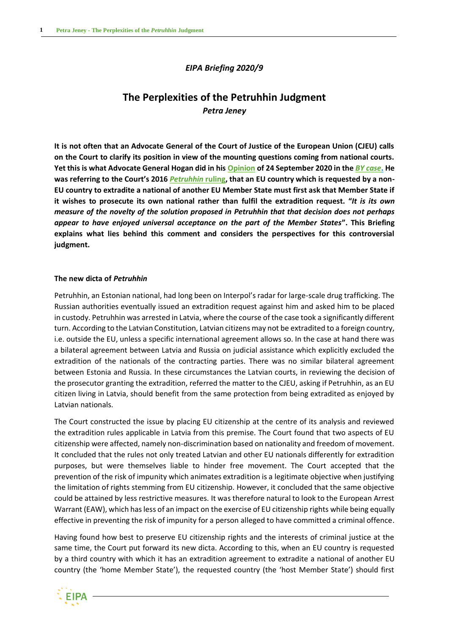## *EIPA Briefing 2020/9*

# **The Perplexities of the Petruhhin Judgment** *Petra Jeney*

**It is not often that an Advocate General of the Court of Justice of the European Union (CJEU) calls on the Court to clarify its position in view of the mounting questions coming from national courts. Yet this is what Advocate General Hogan did in his [Opinion](http://curia.europa.eu/juris/document/document.jsf?text=Petruhhin&docid=231583&pageIndex=0&doclang=en&mode=req&dir=&occ=first&part=1&cid=8448958#ctx1) of 24 September 2020 in the** *[BY case](http://curia.europa.eu/juris/showPdf.jsf?text=Petruhhin&docid=219992&pageIndex=0&doclang=en&mode=req&dir=&occ=first&part=1&cid=8448958)***. He was referring to the Court's 2016** *[Petruhhin](http://curia.europa.eu/juris/document/document.jsf?text=&docid=183097&pageIndex=0&doclang=EN&mode=lst&dir=&occ=first&part=1&cid=9994368)* **ruling, that an EU country which is requested by a non-EU country to extradite a national of another EU Member State must first ask that Member State if it wishes to prosecute its own national rather than fulfil the extradition request. "***It is its own measure of the novelty of the solution proposed in Petruhhin that that decision does not perhaps appear to have enjoyed universal acceptance on the part of the Member States***". This Briefing explains what lies behind this comment and considers the perspectives for this controversial judgment.**

### **The new dicta of** *Petruhhin*

Petruhhin, an Estonian national, had long been on Interpol's radar for large-scale drug trafficking. The Russian authorities eventually issued an extradition request against him and asked him to be placed in custody. Petruhhin was arrested in Latvia, where the course of the case took a significantly different turn. According to the Latvian Constitution, Latvian citizens may not be extradited to a foreign country, i.e. outside the EU, unless a specific international agreement allows so. In the case at hand there was a bilateral agreement between Latvia and Russia on judicial assistance which explicitly excluded the extradition of the nationals of the contracting parties. There was no similar bilateral agreement between Estonia and Russia. In these circumstances the Latvian courts, in reviewing the decision of the prosecutor granting the extradition, referred the matter to the CJEU, asking if Petruhhin, as an EU citizen living in Latvia, should benefit from the same protection from being extradited as enjoyed by Latvian nationals.

The Court constructed the issue by placing EU citizenship at the centre of its analysis and reviewed the extradition rules applicable in Latvia from this premise. The Court found that two aspects of EU citizenship were affected, namely non-discrimination based on nationality and freedom of movement. It concluded that the rules not only treated Latvian and other EU nationals differently for extradition purposes, but were themselves liable to hinder free movement. The Court accepted that the prevention of the risk of impunity which animates extradition is a legitimate objective when justifying the limitation of rights stemming from EU citizenship. However, it concluded that the same objective could be attained by less restrictive measures. It was therefore natural to look to the European Arrest Warrant (EAW), which has less of an impact on the exercise of EU citizenship rights while being equally effective in preventing the risk of impunity for a person alleged to have committed a criminal offence.

Having found how best to preserve EU citizenship rights and the interests of criminal justice at the same time, the Court put forward its new dicta. According to this, when an EU country is requested by a third country with which it has an extradition agreement to extradite a national of another EU country (the 'home Member State'), the requested country (the 'host Member State') should first

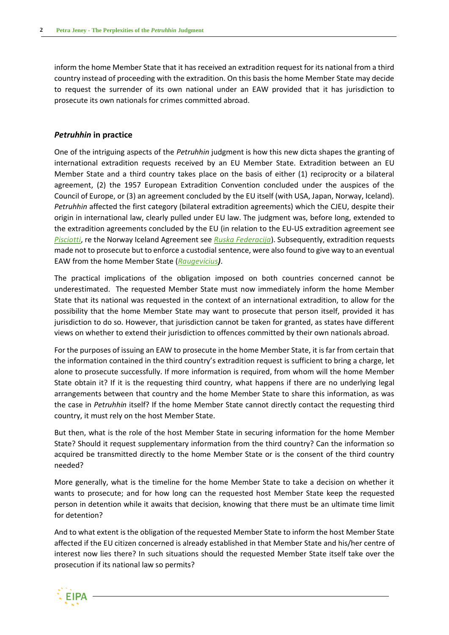inform the home Member State that it has received an extradition request for its national from a third country instead of proceeding with the extradition. On this basis the home Member State may decide to request the surrender of its own national under an EAW provided that it has jurisdiction to prosecute its own nationals for crimes committed abroad.

### *Petruhhin* **in practice**

One of the intriguing aspects of the *Petruhhin* judgment is how this new dicta shapes the granting of international extradition requests received by an EU Member State. Extradition between an EU Member State and a third country takes place on the basis of either (1) reciprocity or a bilateral agreement, (2) the 1957 European Extradition Convention concluded under the auspices of the Council of Europe, or (3) an agreement concluded by the EU itself (with USA, Japan, Norway, Iceland). *Petruhhin* affected the first category (bilateral extradition agreements) which the CJEU, despite their origin in international law, clearly pulled under EU law. The judgment was, before long, extended to the extradition agreements concluded by the EU (in relation to the EU-US extradition agreement see *[Pisciotti](http://curia.europa.eu/juris/document/document.jsf?text=&docid=200883&pageIndex=0&doclang=en&mode=lst&dir=&occ=first&part=1&cid=9996333)*, re the Norway Iceland Agreement see *[Ruska Federacija](http://curia.europa.eu/juris/document/document.jsf?text=Petruhhin&docid=224890&pageIndex=0&doclang=EN&mode=req&dir=&occ=first&part=1&cid=10004309#ctx1)*). Subsequently, extradition requests made not to prosecute but to enforce a custodial sentence, were also found to give way to an eventual EAW from the home Member State (*[Raugevicius](http://curia.europa.eu/juris/document/document.jsf?docid=207683&text=&dir=&doclang=EN&part=1&occ=first&mode=lst&pageIndex=0&cid=8270699))*.

The practical implications of the obligation imposed on both countries concerned cannot be underestimated. The requested Member State must now immediately inform the home Member State that its national was requested in the context of an international extradition, to allow for the possibility that the home Member State may want to prosecute that person itself, provided it has jurisdiction to do so. However, that jurisdiction cannot be taken for granted, as states have different views on whether to extend their jurisdiction to offences committed by their own nationals abroad.

For the purposes of issuing an EAW to prosecute in the home Member State, it is far from certain that the information contained in the third country's extradition request is sufficient to bring a charge, let alone to prosecute successfully. If more information is required, from whom will the home Member State obtain it? If it is the requesting third country, what happens if there are no underlying legal arrangements between that country and the home Member State to share this information, as was the case in *Petruhhin* itself? If the home Member State cannot directly contact the requesting third country, it must rely on the host Member State.

But then, what is the role of the host Member State in securing information for the home Member State? Should it request supplementary information from the third country? Can the information so acquired be transmitted directly to the home Member State or is the consent of the third country needed?

More generally, what is the timeline for the home Member State to take a decision on whether it wants to prosecute; and for how long can the requested host Member State keep the requested person in detention while it awaits that decision, knowing that there must be an ultimate time limit for detention?

And to what extent is the obligation of the requested Member State to inform the host Member State affected if the EU citizen concerned is already established in that Member State and his/her centre of interest now lies there? In such situations should the requested Member State itself take over the prosecution if its national law so permits?